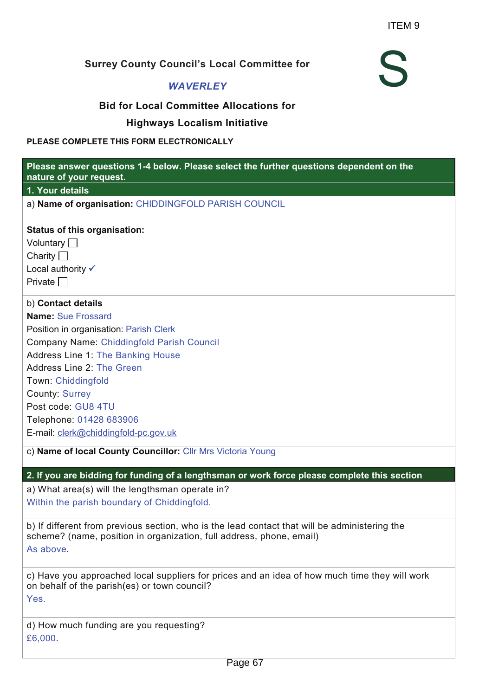S

### **Surrey County Council's Local Committee for**

#### *WAVERLEY*

#### **Bid for Local Committee Allocations for**

#### **Highways Localism Initiative**

#### **PLEASE COMPLETE THIS FORM ELECTRONICALLY**

| Please answer questions 1-4 below. Please select the further questions dependent on the<br>nature of your request.                                                                 |
|------------------------------------------------------------------------------------------------------------------------------------------------------------------------------------|
| 1. Your details                                                                                                                                                                    |
| a) Name of organisation: CHIDDINGFOLD PARISH COUNCIL                                                                                                                               |
| <b>Status of this organisation:</b>                                                                                                                                                |
| Voluntary $\Box$                                                                                                                                                                   |
| Charity $\Box$                                                                                                                                                                     |
| Local authority √                                                                                                                                                                  |
| Private $\Box$                                                                                                                                                                     |
| b) Contact details                                                                                                                                                                 |
| <b>Name: Sue Frossard</b>                                                                                                                                                          |
| Position in organisation: Parish Clerk                                                                                                                                             |
| <b>Company Name: Chiddingfold Parish Council</b>                                                                                                                                   |
| <b>Address Line 1: The Banking House</b>                                                                                                                                           |
| Address Line 2: The Green                                                                                                                                                          |
| Town: Chiddingfold                                                                                                                                                                 |
| <b>County: Surrey</b>                                                                                                                                                              |
| Post code: GU8 4TU                                                                                                                                                                 |
| Telephone: 01428 683906                                                                                                                                                            |
| E-mail: clerk@chiddingfold-pc.gov.uk                                                                                                                                               |
| c) Name of local County Councillor: Cllr Mrs Victoria Young                                                                                                                        |
| 2. If you are bidding for funding of a lengthsman or work force please complete this section                                                                                       |
| a) What area(s) will the lengthsman operate in?                                                                                                                                    |
| Within the parish boundary of Chiddingfold.                                                                                                                                        |
| b) If different from previous section, who is the lead contact that will be administering the<br>scheme? (name, position in organization, full address, phone, email)<br>As above. |
| c) Have you approached local suppliers for prices and an idea of how much time they will work<br>on behalf of the parish(es) or town council?<br>Yes.                              |
| d) How much funding are you requesting?<br>£6,000                                                                                                                                  |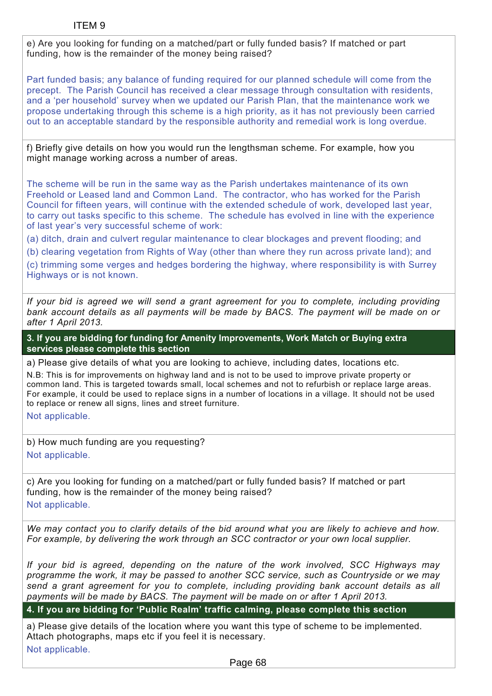e) Are you looking for funding on a matched/part or fully funded basis? If matched or part funding, how is the remainder of the money being raised?

Part funded basis; any balance of funding required for our planned schedule will come from the precept. The Parish Council has received a clear message through consultation with residents, and a 'per household' survey when we updated our Parish Plan, that the maintenance work we propose undertaking through this scheme is a high priority, as it has not previously been carried out to an acceptable standard by the responsible authority and remedial work is long overdue.

f) Briefly give details on how you would run the lengthsman scheme. For example, how you might manage working across a number of areas.

The scheme will be run in the same way as the Parish undertakes maintenance of its own Freehold or Leased land and Common Land. The contractor, who has worked for the Parish Council for fifteen years, will continue with the extended schedule of work, developed last year, to carry out tasks specific to this scheme. The schedule has evolved in line with the experience of last year's very successful scheme of work:

(a) ditch, drain and culvert regular maintenance to clear blockages and prevent flooding; and

(b) clearing vegetation from Rights of Way (other than where they run across private land); and

(c) trimming some verges and hedges bordering the highway, where responsibility is with Surrey Highways or is not known.

*If your bid is agreed we will send a grant agreement for you to complete, including providing bank account details as all payments will be made by BACS. The payment will be made on or after 1 April 2013.*

**3. If you are bidding for funding for Amenity Improvements, Work Match or Buying extra services please complete this section**

a) Please give details of what you are looking to achieve, including dates, locations etc.

N.B: This is for improvements on highway land and is not to be used to improve private property or common land. This is targeted towards small, local schemes and not to refurbish or replace large areas. For example, it could be used to replace signs in a number of locations in a village. It should not be used to replace or renew all signs, lines and street furniture.

Not applicable.

b) How much funding are you requesting? Not applicable.

c) Are you looking for funding on a matched/part or fully funded basis? If matched or part funding, how is the remainder of the money being raised? Not applicable.

*We may contact you to clarify details of the bid around what you are likely to achieve and how. For example, by delivering the work through an SCC contractor or your own local supplier.*

*If your bid is agreed, depending on the nature of the work involved, SCC Highways may programme the work, it may be passed to another SCC service, such as Countryside or we may send a grant agreement for you to complete, including providing bank account details as all payments will be made by BACS. The payment will be made on or after 1 April 2013.*

**4. If you are bidding for 'Public Realm' traffic calming, please complete this section**

a) Please give details of the location where you want this type of scheme to be implemented. Attach photographs, maps etc if you feel it is necessary. Not applicable.

Page 68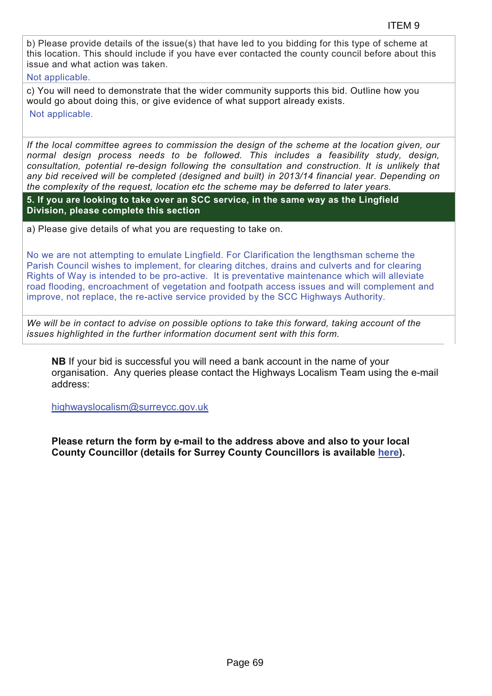b) Please provide details of the issue(s) that have led to you bidding for this type of scheme at this location. This should include if you have ever contacted the county council before about this issue and what action was taken.

Not applicable.

c) You will need to demonstrate that the wider community supports this bid. Outline how you would go about doing this, or give evidence of what support already exists.

Not applicable.

*If the local committee agrees to commission the design of the scheme at the location given, our normal design process needs to be followed. This includes a feasibility study, design, consultation, potential re-design following the consultation and construction. It is unlikely that any bid received will be completed (designed and built) in 2013/14 financial year. Depending on the complexity of the request, location etc the scheme may be deferred to later years.*

**5. If you are looking to take over an SCC service, in the same way as the Lingfield Division, please complete this section**

a) Please give details of what you are requesting to take on.

No we are not attempting to emulate Lingfield. For Clarification the lengthsman scheme the Parish Council wishes to implement, for clearing ditches, drains and culverts and for clearing Rights of Way is intended to be pro-active. It is preventative maintenance which will alleviate road flooding, encroachment of vegetation and footpath access issues and will complement and improve, not replace, the re-active service provided by the SCC Highways Authority.

*We will be in contact to advise on possible options to take this forward, taking account of the issues highlighted in the further information document sent with this form.*

**NB** If your bid is successful you will need a bank account in the name of your organisation. Any queries please contact the Highways Localism Team using the e-mail address:

highwayslocalism@surreycc.gov.uk

**Please return the form by e-mail to the address above and also to your local County Councillor (details for Surrey County Councillors is available here).**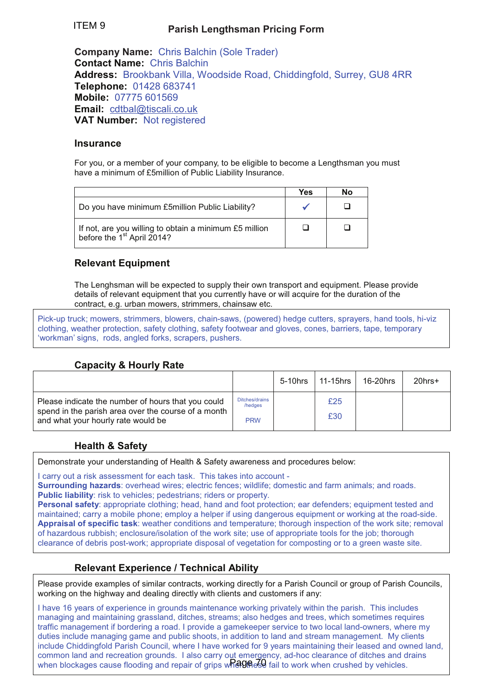#### **Parish Lengthsman Pricing Form** ITEM 9

**Company Name:** Chris Balchin (Sole Trader) **Contact Name:** Chris Balchin **Address:** Brookbank Villa, Woodside Road, Chiddingfold, Surrey, GU8 4RR **Telephone:** 01428 683741 **Mobile:** 07775 601569 **Email:** cdtbal@tiscali.co.uk **VAT Number:** Not registered

#### **Insurance**

For you, or a member of your company, to be eligible to become a Lengthsman you must have a minimum of £5million of Public Liability Insurance.

|                                                                                                  | Yes | Nο |
|--------------------------------------------------------------------------------------------------|-----|----|
| Do you have minimum £5million Public Liability?                                                  |     |    |
| If not, are you willing to obtain a minimum £5 million<br>before the 1 <sup>st</sup> April 2014? |     |    |

#### **Relevant Equipment**

The Lenghsman will be expected to supply their own transport and equipment. Please provide details of relevant equipment that you currently have or will acquire for the duration of the contract, e.g. urban mowers, strimmers, chainsaw etc.

Pick-up truck; mowers, strimmers, blowers, chain-saws, (powered) hedge cutters, sprayers, hand tools, hi-viz clothing, weather protection, safety clothing, safety footwear and gloves, cones, barriers, tape, temporary 'workman' signs, rods, angled forks, scrapers, pushers.

#### **Capacity & Hourly Rate**

|                                                                                                                                                 |                                         | 5-10hrs | 11-15hrs   | 16-20hrs | $20$ hrs $+$ |
|-------------------------------------------------------------------------------------------------------------------------------------------------|-----------------------------------------|---------|------------|----------|--------------|
| Please indicate the number of hours that you could<br>spend in the parish area over the course of a month<br>and what your hourly rate would be | Ditches/drains<br>/hedges<br><b>PRW</b> |         | £25<br>£30 |          |              |

#### **Health & Safety**

Demonstrate your understanding of Health & Safety awareness and procedures below:

I carry out a risk assessment for each task. This takes into account -

**Surrounding hazards**: overhead wires; electric fences; wildlife; domestic and farm animals; and roads. **Public liability:** risk to vehicles; pedestrians; riders or property.

**Personal safety**: appropriate clothing; head, hand and foot protection; ear defenders; equipment tested and maintained; carry a mobile phone; employ a helper if using dangerous equipment or working at the road-side. **Appraisal of specific task**: weather conditions and temperature; thorough inspection of the work site; removal of hazardous rubbish; enclosure/isolation of the work site; use of appropriate tools for the job; thorough clearance of debris post-work; appropriate disposal of vegetation for composting or to a green waste site.

#### **Relevant Experience / Technical Ability**

Please provide examples of similar contracts, working directly for a Parish Council or group of Parish Councils, working on the highway and dealing directly with clients and customers if any:

I have 16 years of experience in grounds maintenance working privately within the parish. This includes managing and maintaining grassland, ditches, streams; also hedges and trees, which sometimes requires traffic management if bordering a road. I provide a gamekeeper service to two local land-owners, where my duties include managing game and public shoots, in addition to land and stream management. My clients include Chiddingfold Parish Council, where I have worked for 9 years maintaining their leased and owned land, common land and recreation grounds. I also carry out emergency, ad-hoc clearance of ditches and drains when blockages cause flooding and repair of grips when et all to work when crushed by vehicles.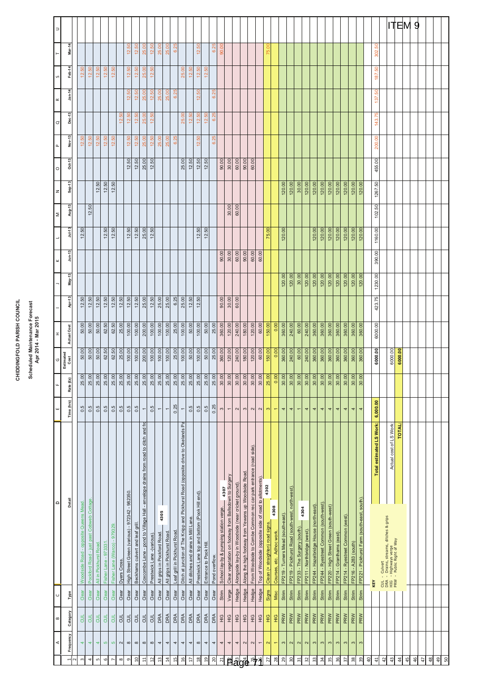# CHIDDINGFOLD PARISH COUNCIL **CHIDDINGFOLD PARISH COUNCIL**

## Scheduled Maintenance Forecast<br>Apr 2014 - Mar 2015 **Scheduled Maintenance Forecast Apr 2014 - Mar 2015**

| $\Rightarrow$     |                                |                                      |                                          |                  |                      |                              |                |                                               |                                 |                                                                               |                          |                            |                              |                              |                                                                               |                                      |                                               |                        |               |                                        |                                                       |                                                    |                                                      |                                                                 |                                                       |                                  |                          |                                   |                                                  |                             |                             |                                        |                                        |                                        |                           |                                 |                       |                                             |               |                                 |    | <b>ITEM</b>                                                                     |               |    | 9             |    |               |    |    |
|-------------------|--------------------------------|--------------------------------------|------------------------------------------|------------------|----------------------|------------------------------|----------------|-----------------------------------------------|---------------------------------|-------------------------------------------------------------------------------|--------------------------|----------------------------|------------------------------|------------------------------|-------------------------------------------------------------------------------|--------------------------------------|-----------------------------------------------|------------------------|---------------|----------------------------------------|-------------------------------------------------------|----------------------------------------------------|------------------------------------------------------|-----------------------------------------------------------------|-------------------------------------------------------|----------------------------------|--------------------------|-----------------------------------|--------------------------------------------------|-----------------------------|-----------------------------|----------------------------------------|----------------------------------------|----------------------------------------|---------------------------|---------------------------------|-----------------------|---------------------------------------------|---------------|---------------------------------|----|---------------------------------------------------------------------------------|---------------|----|---------------|----|---------------|----|----|
|                   | Mar-14                         |                                      |                                          |                  |                      |                              |                | 12.50                                         | 12.50                           | 25.00                                                                         | 12.50                    | 25.00                      | 25.00                        | 6.25                         |                                                                               |                                      | ္တ<br>$\tilde{5}$                             |                        | 6.25          | 90.00                                  |                                                       |                                                    |                                                      |                                                                 |                                                       | ĕ<br>75.                         |                          |                                   |                                                  |                             |                             |                                        |                                        |                                        |                           |                                 |                       |                                             |               | <b>S</b><br>302.                |    |                                                                                 |               |    |               |    |               |    |    |
| $\mathsf{\Omega}$ | Feb-14                         | 12.50                                | 12.50                                    | 12.50            | 12.50                | 12.50                        |                | 12.50                                         | 12.50                           | 25.00                                                                         | 12.50                    |                            |                              |                              | 25.00                                                                         | 12.50                                | 12.50                                         | 12.50                  |               |                                        |                                                       |                                                    |                                                      |                                                                 |                                                       |                                  |                          |                                   |                                                  |                             |                             |                                        |                                        |                                        |                           |                                 |                       |                                             |               | <b>SQ</b><br>187.               |    |                                                                                 |               |    |               |    |               |    |    |
|                   | $Jan-14$                       |                                      |                                          |                  |                      |                              |                | 12.50                                         | 12.50                           | 25.00                                                                         | 12.50                    | 25.00                      | 25.00                        | 6.25                         |                                                                               |                                      | <sub>50</sub><br>$\tilde{5}$                  |                        | 6.25          |                                        |                                                       |                                                    |                                                      |                                                                 |                                                       |                                  |                          |                                   |                                                  |                             |                             |                                        |                                        |                                        |                           |                                 |                       |                                             |               | <sub>50</sub>                   |    |                                                                                 |               |    |               |    |               |    |    |
| $\simeq$          | Dec-13                         |                                      |                                          |                  |                      |                              | <b>SO</b>      | 12.50                                         | 12.50                           | 25.00                                                                         | 12.50                    |                            |                              |                              | 25.00                                                                         | 12.50                                | 12.50                                         | 12.50                  | 6.25          |                                        |                                                       |                                                    |                                                      |                                                                 |                                                       |                                  |                          |                                   |                                                  |                             |                             |                                        |                                        |                                        |                           |                                 |                       |                                             |               | 137.<br>143.75                  |    |                                                                                 |               |    |               |    |               |    |    |
| $\sigma$          | Nov-13                         | 12.50                                | ္တ                                       | 12.50            | 12.50                | 12.50                        | $\tilde{5}$    | 12.50                                         | 12.50                           |                                                                               | 12.50                    |                            | 25.00                        | 6.25                         |                                                                               |                                      | es.                                           |                        | 6.25          |                                        |                                                       |                                                    |                                                      |                                                                 |                                                       |                                  |                          |                                   |                                                  |                             |                             |                                        |                                        |                                        |                           |                                 |                       |                                             |               |                                 |    |                                                                                 |               |    |               |    |               |    |    |
| $\mathbf{r}$      |                                |                                      | $\tilde{5}$                              |                  |                      |                              |                |                                               |                                 | 25.00                                                                         |                          | 25.00                      |                              |                              |                                                                               |                                      | $\tilde{5}$                                   |                        |               |                                        |                                                       |                                                    |                                                      |                                                                 |                                                       |                                  |                          |                                   |                                                  |                             |                             |                                        |                                        |                                        |                           |                                 |                       |                                             |               | 200.00                          |    |                                                                                 |               |    |               |    |               |    |    |
| $\circ$           | $Oct-13$                       |                                      |                                          |                  |                      |                              |                | 12.50                                         | 12.50                           | 25.00                                                                         | 12.50                    |                            |                              |                              | 25.00                                                                         | 12.50                                | 12.50                                         | 12.50                  |               | 90.00                                  | 30.00                                                 | 60.00                                              | 90.00                                                | 60.00                                                           |                                                       |                                  |                          |                                   |                                                  |                             |                             |                                        |                                        |                                        |                           |                                 |                       |                                             |               | 455.00                          |    |                                                                                 |               |    |               |    |               |    |    |
| z                 | Sep-13                         |                                      |                                          | 12.50            | 12.50                | 12.50                        |                |                                               |                                 |                                                                               |                          |                            |                              |                              |                                                                               |                                      |                                               |                        |               |                                        |                                                       |                                                    |                                                      |                                                                 |                                                       |                                  |                          | 120.00                            | 120.00                                           | 30.00                       | 120.00                      | 120.00                                 | 120.00                                 | 120.00                                 | 120.00                    | 120.00                          | 120.00                | 120.00                                      |               | 1267.50                         |    |                                                                                 |               |    |               |    |               |    |    |
| $\geq$            | Aug-13                         |                                      | S <sub>0</sub><br><u>'5</u>              |                  |                      |                              |                |                                               |                                 |                                                                               |                          |                            |                              |                              |                                                                               |                                      |                                               |                        |               |                                        | 30.00                                                 | 60.00                                              |                                                      |                                                                 |                                                       |                                  |                          |                                   |                                                  |                             |                             |                                        |                                        |                                        |                           |                                 |                       |                                             |               | 50<br>102.                      |    |                                                                                 |               |    |               |    |               |    |    |
|                   | $Jul-13$                       | SO<br>$\tilde{5}$                    |                                          |                  | 12.50                | 12.50                        |                | 12.50                                         | 12.50                           | 25.00                                                                         | 12.50                    |                            |                              |                              |                                                                               |                                      | 12.50                                         | 12.50                  |               |                                        |                                                       |                                                    |                                                      |                                                                 |                                                       | 75.00                            |                          | 120.00                            |                                                  |                             |                             | 120.00                                 | 120.00                                 | 120.00                                 | 120.00                    | 120.00                          | 120.00                | 120.00                                      |               | 1160.00                         |    |                                                                                 |               |    |               |    |               |    |    |
|                   | $J$ un-13                      |                                      |                                          |                  |                      |                              |                |                                               |                                 |                                                                               |                          |                            |                              |                              |                                                                               |                                      |                                               |                        |               | 90.00                                  | 30.00                                                 | 60.00                                              | 90.00                                                | 60.00                                                           | 60.00                                                 |                                  |                          |                                   |                                                  |                             |                             |                                        |                                        |                                        |                           |                                 |                       |                                             |               | 390.00                          |    |                                                                                 |               |    |               |    |               |    |    |
|                   | May-13                         |                                      |                                          |                  |                      |                              |                |                                               |                                 |                                                                               |                          |                            |                              |                              |                                                                               |                                      |                                               |                        |               |                                        |                                                       |                                                    |                                                      |                                                                 |                                                       |                                  |                          | 120.00                            | 120.00                                           | 30.00                       | 120.00                      | 120.00                                 | 120.00                                 | 120.00                                 | 120.00                    | 120.00                          | 120.00                | 120.00                                      |               | 1230.00                         |    |                                                                                 |               |    |               |    |               |    |    |
|                   | Apr-13                         | 12.50                                | 12.50                                    | 12.50            | 12.50                | 12.50                        | 12.50          | 12.50                                         | 12.50                           | 25.00                                                                         | 12.50                    | 25.00                      | 25.00                        | 6.25                         | 25.00                                                                         | 12.50                                | 12.50                                         |                        |               | 90.00                                  | 30.00                                                 | 60.00                                              |                                                      |                                                                 |                                                       |                                  |                          |                                   |                                                  |                             |                             |                                        |                                        |                                        |                           |                                 |                       |                                             |               | 423.75                          |    |                                                                                 |               |    |               |    |               |    |    |
| H                 | Actual Cost                    | 50.00                                | 50.00                                    | 50.00            | 62.50                | 62.50                        | 25.00          | 100.00                                        | 100.00                          | 200.00                                                                        | 100.00                   | 100.00                     | 100.00                       | 25.00                        | 100.00                                                                        | 50.00                                | 100.00                                        | 50.00                  | 25.00         | 360.00                                 | 120.00                                                | 240.00                                             | 180.00                                               | 120.00                                                          | 60.00                                                 | 150.00                           | 0.00                     | 360.00                            | 240.00                                           | 60.00                       | 240.00                      | 360.00                                 | 360.00                                 | 360.00                                 | 360.00                    | 360.00                          | 360.00                | 360.00                                      |               | 6000.00                         |    |                                                                                 |               |    |               |    |               |    |    |
| $\circ$           | Estimated<br>Cost              | 50.00                                | 50.00                                    | 50.00            | 62.50                | 62.50                        | 25.00          | 100.00                                        | 100.00                          | 200.00                                                                        | 100.00                   | 100.00                     | 100.00                       | 25.00                        | 100.00                                                                        | 50.00                                | 100.00                                        | 50.00                  | 25.00         | 360.00                                 | 120.00                                                | 240.00                                             | 180.00                                               | 120.00                                                          | 60.00                                                 | 150.00                           | 0.00                     | 360.00                            | 240.00                                           | 60.00                       | 240.00                      | 360.00                                 | 360.00                                 | 360.00                                 | 360.00                    | 360.00                          | 360.00                | 360.00                                      |               | 6000.00                         |    | 6000.00                                                                         | 6000.00       |    |               |    |               |    |    |
|                   | $\mathbf{(\hat{E}\mathbf{S})}$ | 25.00                                | 25.00                                    | 25.00            | 25.00                | 25.00                        | 25.00          | 25.00                                         | 25.00                           | 25.00                                                                         | 25.00                    | 25.00                      | 25.00                        | 25.00                        | 25.00                                                                         | 25.00                                | 25.00                                         | 25.00                  | 25.00         | 30.00                                  | 30.00                                                 | 30.00                                              | 30.00                                                | 30.00                                                           | 30.00                                                 | 25.00                            | 0.00                     | 30.00                             | 30.00                                            | 30.00                       | 30.00                       | 30.00                                  | 30.00                                  | 30.00                                  | 30.00                     | 30.00                           | 30.00                 | 30.00                                       |               |                                 |    |                                                                                 |               |    |               |    |               |    |    |
|                   | Rate                           |                                      |                                          |                  |                      |                              |                |                                               |                                 |                                                                               |                          |                            |                              |                              |                                                                               |                                      |                                               |                        |               |                                        |                                                       |                                                    |                                                      |                                                                 |                                                       |                                  |                          |                                   |                                                  |                             |                             |                                        |                                        |                                        |                           |                                 |                       |                                             |               |                                 |    |                                                                                 |               |    |               |    |               |    |    |
| ш                 | Time (hrs)                     | 0.5                                  | 0.5                                      | 0.5              | 0.5                  | 0.5                          | 0.5            | 0.5                                           | 0.5                             | $\overline{ }$<br>'두                                                          | 0.5                      | $\overline{\phantom{0}}$   |                              | 0.25                         | ዺ                                                                             | 0.5                                  | 0.5                                           | 0.5                    | 0.25          | $\infty$                               | $\overline{ }$                                        | 2                                                  | $\mathfrak{S}$                                       | $\sim$                                                          | $\mathbf{\Omega}$                                     | $\boldsymbol{\infty}$            | ۳                        | 4                                 | 4                                                | $\overline{\phantom{0}}$    | 4                           | 4                                      | 4                                      | 4                                      | 4                         | 4                               | 4                     | 4                                           |               | 6,000.00                        |    |                                                                                 |               |    |               |    |               |    |    |
|                   |                                |                                      |                                          |                  |                      |                              |                |                                               |                                 | Coxcombe Lane - pond to Village Hall - envelope drains from road to ditch and |                          |                            |                              |                              | Ditch at junction of The Knipp and Pickhurst Road (opposite drive to Okelands |                                      |                                               |                        |               | 4307                                   | Clear vegetation on footway from Ballsdown to Surgery |                                                    | Along the high footway from Yewens up Woodside Road. | From Woodside to Combe Common rec car park entrance (road side) | Top of Woodside (opposite side of road to allotments) | 4302                             |                          |                                   |                                                  |                             |                             |                                        |                                        |                                        |                           |                                 |                       |                                             |               | <b>Total estimated LS Work:</b> |    | Actual cost of LS Work:                                                         | <b>TOTAL:</b> |    |               |    |               |    |    |
| $\circ$           | Detail                         | Woodside Road - opposite Queens Mead | Pockford Road - just past Cobweb Cottage |                  |                      |                              |                | High Street Green (various) - 972342 - 982350 |                                 |                                                                               |                          | 4305                       |                              |                              |                                                                               |                                      | Prestwick Lane top and bottom (Pook Hill end) |                        |               |                                        |                                                       | Alongside lay-by in Woodside (near cricket ground) |                                                      |                                                                 |                                                       |                                  | 4308                     |                                   | FP219 - Pickhurst Road (south-west, north-west). |                             | 4304                        |                                        | FP244 - Ryestreet Common (south-west), |                                        |                           |                                 |                       | FP221 - Pickhurst Farm (south-east, south), |               |                                 |    |                                                                                 |               |    |               |    |               |    |    |
|                   |                                |                                      |                                          |                  |                      |                              |                |                                               |                                 |                                                                               |                          |                            |                              |                              |                                                                               |                                      |                                               |                        |               |                                        |                                                       |                                                    |                                                      |                                                                 |                                                       |                                  |                          |                                   |                                                  |                             |                             |                                        |                                        |                                        |                           |                                 |                       |                                             |               |                                 |    |                                                                                 |               |    |               |    |               |    |    |
|                   |                                |                                      |                                          | Road             | Fisher Lane - 973331 | Fisher Lane (Warco) - 979329 |                |                                               | Beckhams culvert and leaf grill |                                                                               | Prestwick Lane-(various) | All grips in Pockford Road | All grips in Pickhurst Road. | Leaf grill in Pickhurst Road |                                                                               | All ditches and drains in Mill Lane. |                                               | Entrance to Pook Hill. |               | School lay-by & pumping station verge. |                                                       |                                                    |                                                      |                                                                 |                                                       | Clean (+ straighten) road signs. | Courses, etc. Adhoc work | FP219 - Turners Mead (south-east) |                                                  | FP233 - The Surgery (south) | FP211 - Northbridge (west). | FP244 - Hazelbridge House (north-east) |                                        | FP220 - High Street Green (south-west) | FP214 - Granthams (east). | FP214 - Ryestreet Common (west) | FP216 - A283 (south)  |                                             |               |                                 |    | - Drains, streams, ditches & grips<br>- Highways verge<br>- Public Right of Way |               |    |               |    |               |    |    |
|                   |                                |                                      |                                          | All in Pickhurst |                      |                              | Dyers Cross    |                                               |                                 |                                                                               |                          |                            |                              |                              |                                                                               |                                      |                                               |                        | Pond overflow |                                        |                                                       |                                                    |                                                      |                                                                 |                                                       |                                  |                          |                                   |                                                  |                             |                             |                                        |                                        |                                        |                           |                                 |                       |                                             |               | KEY                             |    | CUL - Culvert<br>DRA - Drains, s<br>HIG - Highway<br>PRW - Public R             |               |    |               |    |               |    |    |
| $\cup$            | Type                           | Clear                                | Clear                                    | Clear            | Clear                | Clear                        | Clear          | Clear                                         | Clear                           | Clear                                                                         | Clear                    | Clear                      | Clear                        | Clear                        | Clear                                                                         | Clear                                | Clear                                         | Clear                  | Clear         | Strim                                  | Verge                                                 | Hedge                                              | Hedge                                                | Hedge                                                           | Hedge                                                 | Signs                            | Misc                     | Strim                             | Strim                                            | Strim                       | Strim                       | Strim                                  | Strim                                  | Strim                                  | Strim                     | Strim                           | Strim                 | Strim                                       |               |                                 |    |                                                                                 |               |    |               |    |               |    |    |
| $\blacksquare$    | Category                       | $\frac{1}{2}$                        | $\frac{1}{2}$                            | <b>BUL</b>       | <b>BUL</b>           | $\frac{1}{2}$                | $\overline{5}$ | э                                             | $\overline{a}$                  | $\overline{a}$                                                                | $\overline{a}$           | DRA                        | DRA                          | DRA                          | DRA                                                                           | DRA                                  | DRA                                           | DRA                    | DRA           | $\frac{6}{5}$                          | $\frac{6}{5}$                                         | $\frac{\mathrm{C}}{\mathrm{E}}$                    | $\frac{6}{1}$                                        | $rac{c}{\pm}$                                                   | $rac{G}{T}$                                           | $rac{6}{2}$                      | $\frac{6}{2}$            | PRW                               | PRW                                              | PRW                         | PRW                         | PRW                                    | PRW                                    | PRW                                    | PRW                       | PRW                             | PRW                   | PRW                                         |               |                                 |    |                                                                                 |               |    |               |    |               |    |    |
| ⋖                 | Frequency                      | 4                                    | 4                                        |                  | $\mathfrak{S}$       | Ю                            | $\sim$         | $\infty$                                      | $\infty$                        | $\infty$                                                                      | $\infty$                 | 4                          | 4                            | 4                            | 4                                                                             | 4                                    | $\infty$                                      | 4                      | 4             | 4                                      | 4                                                     | 4                                                  | $\mathbf{\Omega}$                                    | $\boldsymbol{\mathsf{c}}$                                       | $\overline{\phantom{0}}$                              | $\mathbf{\Omega}$                | $\overline{}$            | $\infty$                          | $\sim$                                           | $\mathbf{\Omega}$           | $\boldsymbol{\alpha}$       | $\infty$                               | S                                      | $\mathfrak{S}$                         | S                         | $\infty$                        | $\boldsymbol{\infty}$ | $\infty$                                    |               |                                 |    |                                                                                 |               |    |               |    |               |    |    |
|                   |                                | $\mathsf{m}$                         | 4                                        | LC.              | $\circ$              | r                            | $\infty$       | G)                                            | $\overline{a}$                  | $\mathbf{1}$                                                                  | $\overline{12}$          | 13                         | $\overline{1}$               | 15                           | 16                                                                            | $\overline{17}$                      | $\overline{18}$                               | $\overline{a}$         | 20            | $\overline{21}$                        | ष्टि                                                  | å                                                  | 첗                                                    |                                                                 |                                                       | 27                               | 28                       | 29                                | $\overline{30}$                                  | $\overline{31}$             | 32                          | 33                                     | $\boldsymbol{z}$                       | 35                                     | 36                        | $\overline{37}$                 | 38                    | 39                                          | $\frac{1}{2}$ | $\frac{4}{3}$                   | 42 | 43                                                                              | $\frac{4}{3}$ | 45 | $\frac{6}{4}$ | 47 | $\frac{8}{3}$ | 49 | 50 |